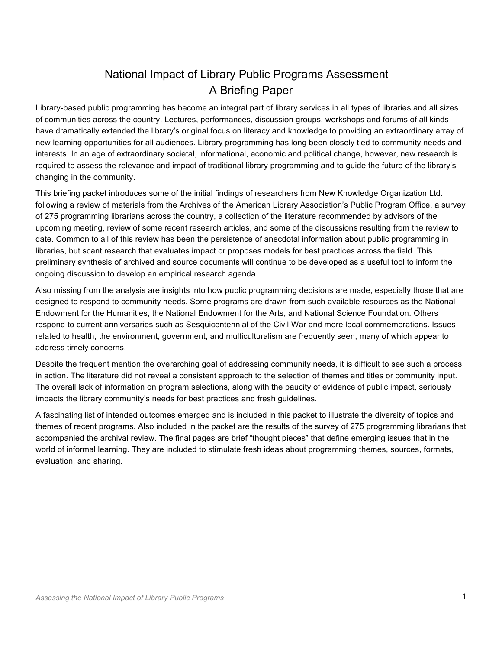# National Impact of Library Public Programs Assessment A Briefing Paper

Library-based public programming has become an integral part of library services in all types of libraries and all sizes of communities across the country. Lectures, performances, discussion groups, workshops and forums of all kinds have dramatically extended the library's original focus on literacy and knowledge to providing an extraordinary array of new learning opportunities for all audiences. Library programming has long been closely tied to community needs and interests. In an age of extraordinary societal, informational, economic and political change, however, new research is required to assess the relevance and impact of traditional library programming and to guide the future of the library's changing in the community.

This briefing packet introduces some of the initial findings of researchers from New Knowledge Organization Ltd. following a review of materials from the Archives of the American Library Association's Public Program Office, a survey of 275 programming librarians across the country, a collection of the literature recommended by advisors of the upcoming meeting, review of some recent research articles, and some of the discussions resulting from the review to date. Common to all of this review has been the persistence of anecdotal information about public programming in libraries, but scant research that evaluates impact or proposes models for best practices across the field. This preliminary synthesis of archived and source documents will continue to be developed as a useful tool to inform the ongoing discussion to develop an empirical research agenda.

Also missing from the analysis are insights into how public programming decisions are made, especially those that are designed to respond to community needs. Some programs are drawn from such available resources as the National Endowment for the Humanities, the National Endowment for the Arts, and National Science Foundation. Others respond to current anniversaries such as Sesquicentennial of the Civil War and more local commemorations. Issues related to health, the environment, government, and multiculturalism are frequently seen, many of which appear to address timely concerns.

Despite the frequent mention the overarching goal of addressing community needs, it is difficult to see such a process in action. The literature did not reveal a consistent approach to the selection of themes and titles or community input. The overall lack of information on program selections, along with the paucity of evidence of public impact, seriously impacts the library community's needs for best practices and fresh guidelines.

A fascinating list of intended outcomes emerged and is included in this packet to illustrate the diversity of topics and themes of recent programs. Also included in the packet are the results of the survey of 275 programming librarians that accompanied the archival review. The final pages are brief "thought pieces" that define emerging issues that in the world of informal learning. They are included to stimulate fresh ideas about programming themes, sources, formats, evaluation, and sharing.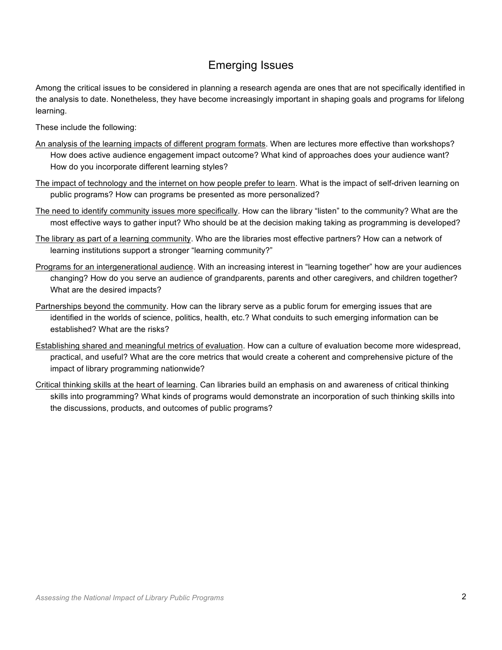### Emerging Issues

Among the critical issues to be considered in planning a research agenda are ones that are not specifically identified in the analysis to date. Nonetheless, they have become increasingly important in shaping goals and programs for lifelong learning.

These include the following:

- An analysis of the learning impacts of different program formats. When are lectures more effective than workshops? How does active audience engagement impact outcome? What kind of approaches does your audience want? How do you incorporate different learning styles?
- The impact of technology and the internet on how people prefer to learn. What is the impact of self-driven learning on public programs? How can programs be presented as more personalized?
- The need to identify community issues more specifically. How can the library "listen" to the community? What are the most effective ways to gather input? Who should be at the decision making taking as programming is developed?
- The library as part of a learning community. Who are the libraries most effective partners? How can a network of learning institutions support a stronger "learning community?"
- Programs for an intergenerational audience. With an increasing interest in "learning together" how are your audiences changing? How do you serve an audience of grandparents, parents and other caregivers, and children together? What are the desired impacts?
- Partnerships beyond the community. How can the library serve as a public forum for emerging issues that are identified in the worlds of science, politics, health, etc.? What conduits to such emerging information can be established? What are the risks?
- Establishing shared and meaningful metrics of evaluation. How can a culture of evaluation become more widespread, practical, and useful? What are the core metrics that would create a coherent and comprehensive picture of the impact of library programming nationwide?
- Critical thinking skills at the heart of learning. Can libraries build an emphasis on and awareness of critical thinking skills into programming? What kinds of programs would demonstrate an incorporation of such thinking skills into the discussions, products, and outcomes of public programs?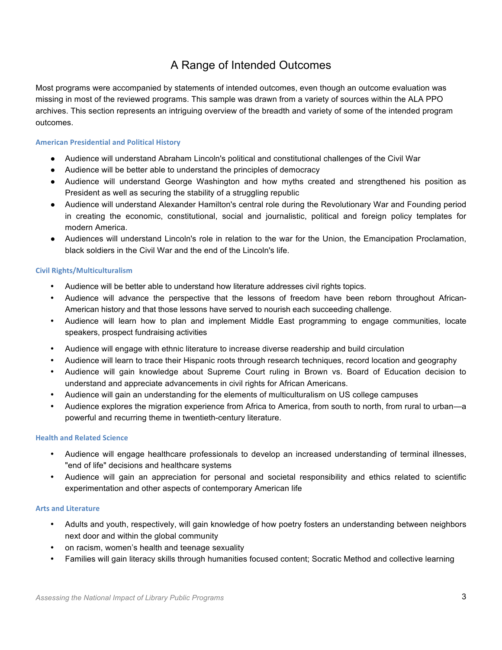## A Range of Intended Outcomes

Most programs were accompanied by statements of intended outcomes, even though an outcome evaluation was missing in most of the reviewed programs. This sample was drawn from a variety of sources within the ALA PPO archives. This section represents an intriguing overview of the breadth and variety of some of the intended program outcomes.

#### **American Presidential and Political History**

- Audience will understand Abraham Lincoln's political and constitutional challenges of the Civil War
- Audience will be better able to understand the principles of democracy
- Audience will understand George Washington and how myths created and strengthened his position as President as well as securing the stability of a struggling republic
- Audience will understand Alexander Hamilton's central role during the Revolutionary War and Founding period in creating the economic, constitutional, social and journalistic, political and foreign policy templates for modern America.
- Audiences will understand Lincoln's role in relation to the war for the Union, the Emancipation Proclamation, black soldiers in the Civil War and the end of the Lincoln's life.

#### **Civil)Rights/Multiculturalism**

- Audience will be better able to understand how literature addresses civil rights topics.
- Audience will advance the perspective that the lessons of freedom have been reborn throughout African-American history and that those lessons have served to nourish each succeeding challenge.
- Audience will learn how to plan and implement Middle East programming to engage communities, locate speakers, prospect fundraising activities
- Audience will engage with ethnic literature to increase diverse readership and build circulation
- Audience will learn to trace their Hispanic roots through research techniques, record location and geography
- Audience will gain knowledge about Supreme Court ruling in Brown vs. Board of Education decision to understand and appreciate advancements in civil rights for African Americans.
- Audience will gain an understanding for the elements of multiculturalism on US college campuses
- Audience explores the migration experience from Africa to America, from south to north, from rural to urban—a powerful and recurring theme in twentieth-century literature.

#### **Health and Related Science**

- Audience will engage healthcare professionals to develop an increased understanding of terminal illnesses, "end of life" decisions and healthcare systems
- Audience will gain an appreciation for personal and societal responsibility and ethics related to scientific experimentation and other aspects of contemporary American life

#### **Arts)and)Literature**

- Adults and youth, respectively, will gain knowledge of how poetry fosters an understanding between neighbors next door and within the global community
- on racism, women's health and teenage sexuality
- Families will gain literacy skills through humanities focused content; Socratic Method and collective learning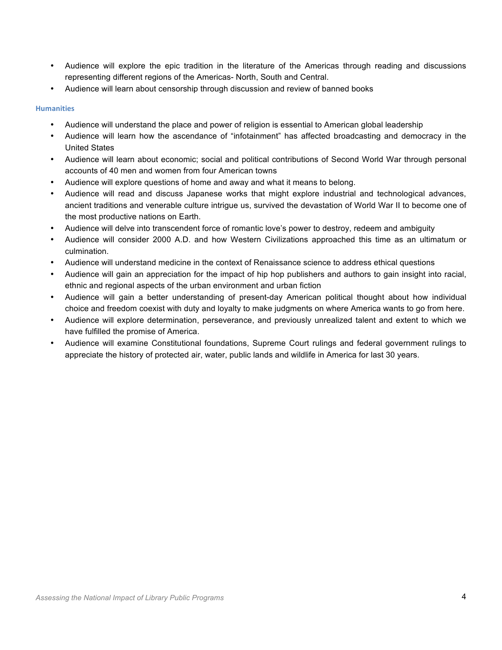- Audience will explore the epic tradition in the literature of the Americas through reading and discussions representing different regions of the Americas- North, South and Central.
- Audience will learn about censorship through discussion and review of banned books

#### **Humanities**

- Audience will understand the place and power of religion is essential to American global leadership
- Audience will learn how the ascendance of "infotainment" has affected broadcasting and democracy in the United States
- Audience will learn about economic; social and political contributions of Second World War through personal accounts of 40 men and women from four American towns
- Audience will explore questions of home and away and what it means to belong.
- Audience will read and discuss Japanese works that might explore industrial and technological advances, ancient traditions and venerable culture intrigue us, survived the devastation of World War II to become one of the most productive nations on Earth.
- Audience will delve into transcendent force of romantic love's power to destroy, redeem and ambiguity
- Audience will consider 2000 A.D. and how Western Civilizations approached this time as an ultimatum or culmination.
- Audience will understand medicine in the context of Renaissance science to address ethical questions
- Audience will gain an appreciation for the impact of hip hop publishers and authors to gain insight into racial, ethnic and regional aspects of the urban environment and urban fiction
- Audience will gain a better understanding of present-day American political thought about how individual choice and freedom coexist with duty and loyalty to make judgments on where America wants to go from here.
- Audience will explore determination, perseverance, and previously unrealized talent and extent to which we have fulfilled the promise of America.
- Audience will examine Constitutional foundations, Supreme Court rulings and federal government rulings to appreciate the history of protected air, water, public lands and wildlife in America for last 30 years.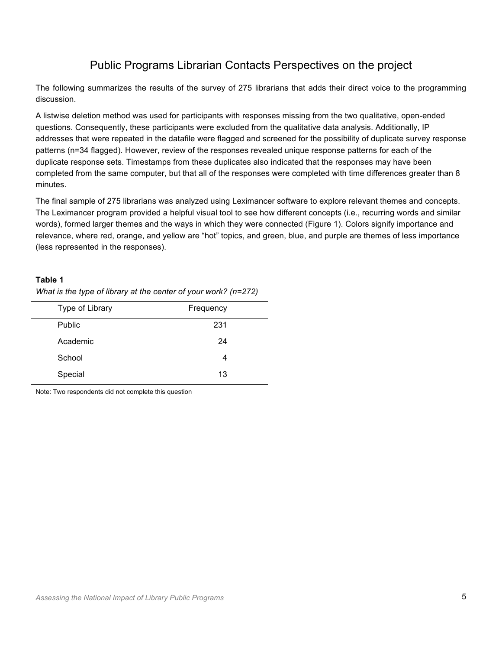## Public Programs Librarian Contacts Perspectives on the project

The following summarizes the results of the survey of 275 librarians that adds their direct voice to the programming discussion.

A listwise deletion method was used for participants with responses missing from the two qualitative, open-ended questions. Consequently, these participants were excluded from the qualitative data analysis. Additionally, IP addresses that were repeated in the datafile were flagged and screened for the possibility of duplicate survey response patterns (n=34 flagged). However, review of the responses revealed unique response patterns for each of the duplicate response sets. Timestamps from these duplicates also indicated that the responses may have been completed from the same computer, but that all of the responses were completed with time differences greater than 8 minutes.

The final sample of 275 librarians was analyzed using Leximancer software to explore relevant themes and concepts. The Leximancer program provided a helpful visual tool to see how different concepts (i.e., recurring words and similar words), formed larger themes and the ways in which they were connected (Figure 1). Colors signify importance and relevance, where red, orange, and yellow are "hot" topics, and green, blue, and purple are themes of less importance (less represented in the responses).

#### **Table 1**

| Type of Library | Frequency |
|-----------------|-----------|
| Public          | 231       |
| Academic        | 24        |
| School          | 4         |
| Special         | 13        |

*What is the type of library at the center of your work? (n=272)*

Note: Two respondents did not complete this question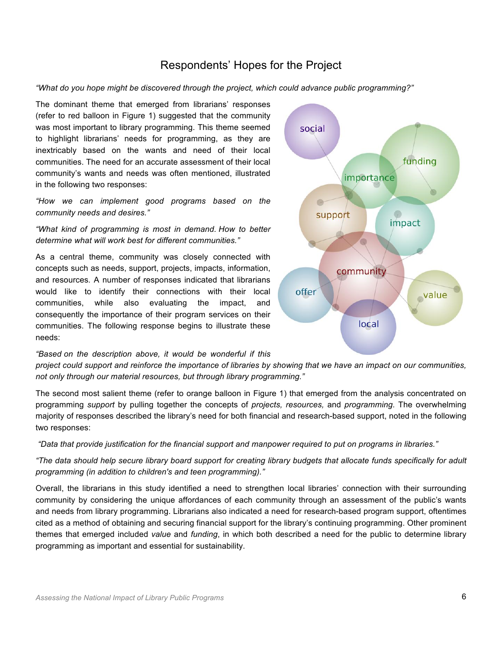### Respondents' Hopes for the Project

#### *"What do you hope might be discovered through the project, which could advance public programming?"*

The dominant theme that emerged from librarians' responses (refer to red balloon in Figure 1) suggested that the community was most important to library programming. This theme seemed to highlight librarians' needs for programming, as they are inextricably based on the wants and need of their local communities. The need for an accurate assessment of their local community's wants and needs was often mentioned, illustrated in the following two responses:

*"How we can implement good programs based on the community needs and desires."*

*"What kind of programming is most in demand. How to better determine what will work best for different communities."*

As a central theme, community was closely connected with concepts such as needs, support, projects, impacts, information, and resources*.* A number of responses indicated that librarians would like to identify their connections with their local communities, while also evaluating the impact, and consequently the importance of their program services on their communities. The following response begins to illustrate these needs:

*"Based on the description above, it would be wonderful if this* 

*project could support and reinforce the importance of libraries by showing that we have an impact on our communities, not only through our material resources, but through library programming."*

The second most salient theme (refer to orange balloon in Figure 1) that emerged from the analysis concentrated on programming *support* by pulling together the concepts of *projects, resources,* and *programming.* The overwhelming majority of responses described the library's need for both financial and research-based support, noted in the following two responses:

*"Data that provide justification for the financial support and manpower required to put on programs in libraries."*

*"The data should help secure library board support for creating library budgets that allocate funds specifically for adult programming (in addition to children's and teen programming)."*

Overall, the librarians in this study identified a need to strengthen local libraries' connection with their surrounding community by considering the unique affordances of each community through an assessment of the public's wants and needs from library programming. Librarians also indicated a need for research-based program support, oftentimes cited as a method of obtaining and securing financial support for the library's continuing programming. Other prominent themes that emerged included *value* and *funding*, in which both described a need for the public to determine library programming as important and essential for sustainability.